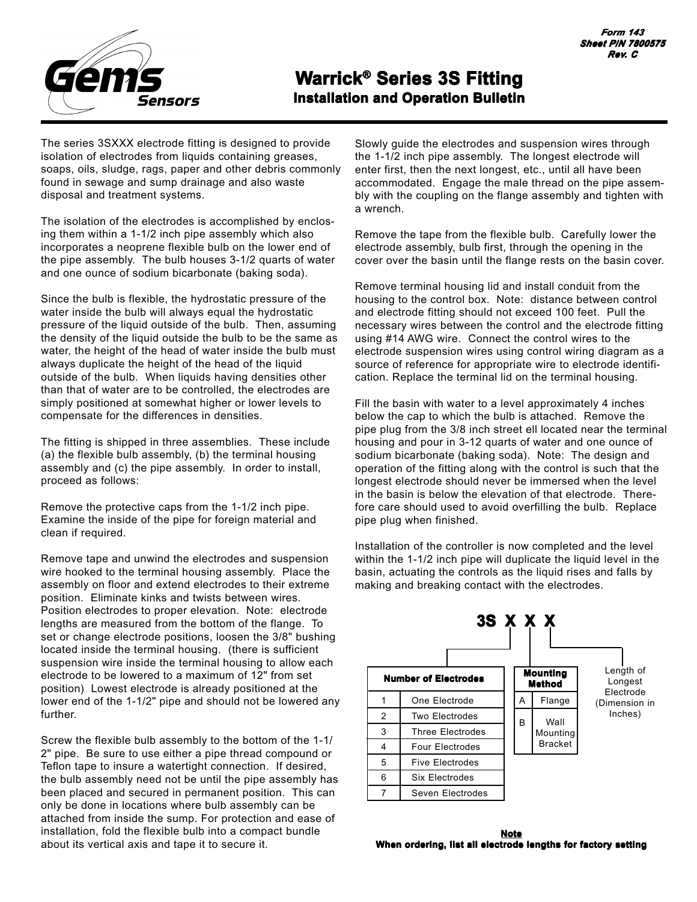

## **Warrick® Series 3S Fitting Installation and Operation Bulletin**

The series 3SXXX electrode fitting is designed to provide isolation of electrodes from liquids containing greases, soaps, oils, sludge, rags, paper and other debris commonly found in sewage and sump drainage and also waste disposal and treatment systems.

The isolation of the electrodes is accomplished by enclosing them within a 1-1/2 inch pipe assembly which also incorporates a neoprene flexible bulb on the lower end of the pipe assembly. The bulb houses 3-1/2 quarts of water and one ounce of sodium bicarbonate (baking soda).

Since the bulb is flexible, the hydrostatic pressure of the water inside the bulb will always equal the hydrostatic pressure of the liquid outside of the bulb. Then, assuming the density of the liquid outside the bulb to be the same as water, the height of the head of water inside the bulb must always duplicate the height of the head of the liquid outside of the bulb. When liquids having densities other than that of water are to be controlled, the electrodes are simply positioned at somewhat higher or lower levels to compensate for the differences in densities.

The fitting is shipped in three assemblies. These include (a) the flexible bulb assembly, (b) the terminal housing assembly and (c) the pipe assembly. In order to install, proceed as follows:

Remove the protective caps from the 1-1/2 inch pipe. Examine the inside of the pipe for foreign material and clean if required.

Remove tape and unwind the electrodes and suspension wire hooked to the terminal housing assembly. Place the assembly on floor and extend electrodes to their extreme position. Eliminate kinks and twists between wires. Position electrodes to proper elevation. Note: electrode lengths are measured from the bottom of the flange. To set or change electrode positions, loosen the 3/8" bushing located inside the terminal housing. (there is sufficient suspension wire inside the terminal housing to allow each electrode to be lowered to a maximum of 12" from set position) Lowest electrode is already positioned at the lower end of the 1-1/2" pipe and should not be lowered any further.

Screw the flexible bulb assembly to the bottom of the 1-1/ 2" pipe. Be sure to use either a pipe thread compound or Teflon tape to insure a watertight connection. If desired, the bulb assembly need not be until the pipe assembly has been placed and secured in permanent position. This can only be done in locations where bulb assembly can be attached from inside the sump. For protection and ease of installation, fold the flexible bulb into a compact bundle about its vertical axis and tape it to secure it.

Slowly guide the electrodes and suspension wires through the 1-1/2 inch pipe assembly. The longest electrode will enter first, then the next longest, etc., until all have been accommodated. Engage the male thread on the pipe assembly with the coupling on the flange assembly and tighten with a wrench.

Remove the tape from the flexible bulb. Carefully lower the electrode assembly, bulb first, through the opening in the cover over the basin until the flange rests on the basin cover.

Remove terminal housing lid and install conduit from the housing to the control box. Note: distance between control and electrode fitting should not exceed 100 feet. Pull the necessary wires between the control and the electrode fitting using #14 AWG wire. Connect the control wires to the electrode suspension wires using control wiring diagram as a source of reference for appropriate wire to electrode identification. Replace the terminal lid on the terminal housing.

Fill the basin with water to a level approximately 4 inches below the cap to which the bulb is attached. Remove the pipe plug from the 3/8 inch street ell located near the terminal housing and pour in 3-12 quarts of water and one ounce of sodium bicarbonate (baking soda). Note: The design and operation of the fitting along with the control is such that the longest electrode should never be immersed when the level in the basin is below the elevation of that electrode. Therefore care should used to avoid overfilling the bulb. Replace pipe plug when finished.

Installation of the controller is now completed and the level within the 1-1/2 inch pipe will duplicate the liquid level in the basin, actuating the controls as the liquid rises and falls by making and breaking contact with the electrodes.

| 3S X X X |                             |                           |   |                                    |                                   |  |
|----------|-----------------------------|---------------------------|---|------------------------------------|-----------------------------------|--|
|          | <b>Number of Electrodes</b> | <b>Mounting</b><br>Method |   |                                    | Length of<br>Longest<br>Electrode |  |
| 1        | One Electrode               |                           | A | Flange                             | (Dimension in<br>Inches)          |  |
| 2        | Two Electrodes              |                           | B | Wall<br>Mounting<br><b>Bracket</b> |                                   |  |
| 3        | <b>Three Electrodes</b>     |                           |   |                                    |                                   |  |
| 4        | <b>Four Electrodes</b>      |                           |   |                                    |                                   |  |
| 5        | <b>Five Electrodes</b>      |                           |   |                                    |                                   |  |
| 6        | Six Electrodes              |                           |   |                                    |                                   |  |
|          | Seven Electrodes            |                           |   |                                    |                                   |  |